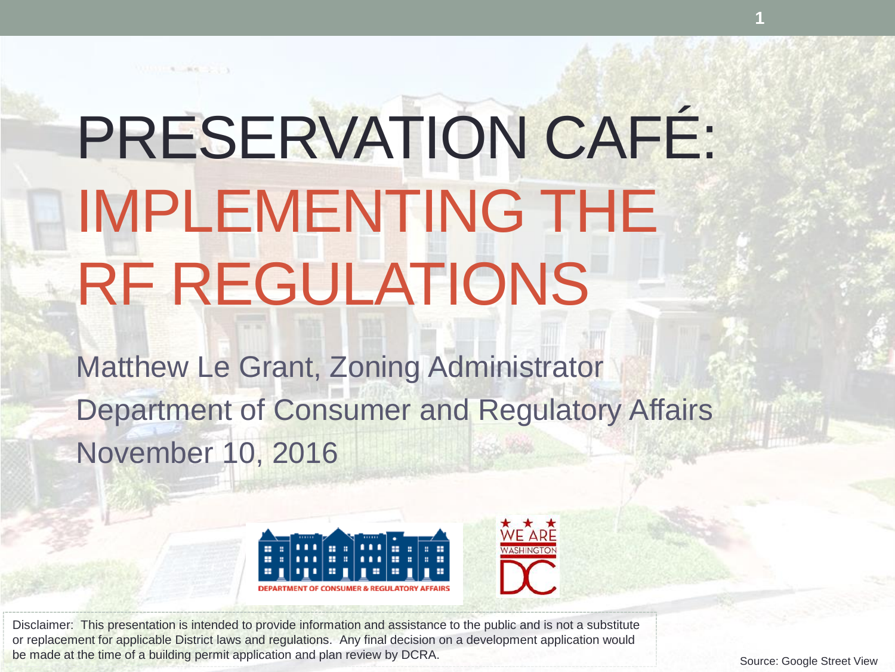# PRESERVATION CAFÉ: IMPLEMENTING THE RF REGULATIONS

11111 4 84 1 1

Matthew Le Grant, Zoning Administrator Department of Consumer and Regulatory Affairs November 10, 2016



Disclaimer: This presentation is intended to provide information and assistance to the public and is not a substitute or replacement for applicable District laws and regulations. Any final decision on a development application would be made at the time of a building permit application and plan review by DCRA.

Source: Google Street View

**1**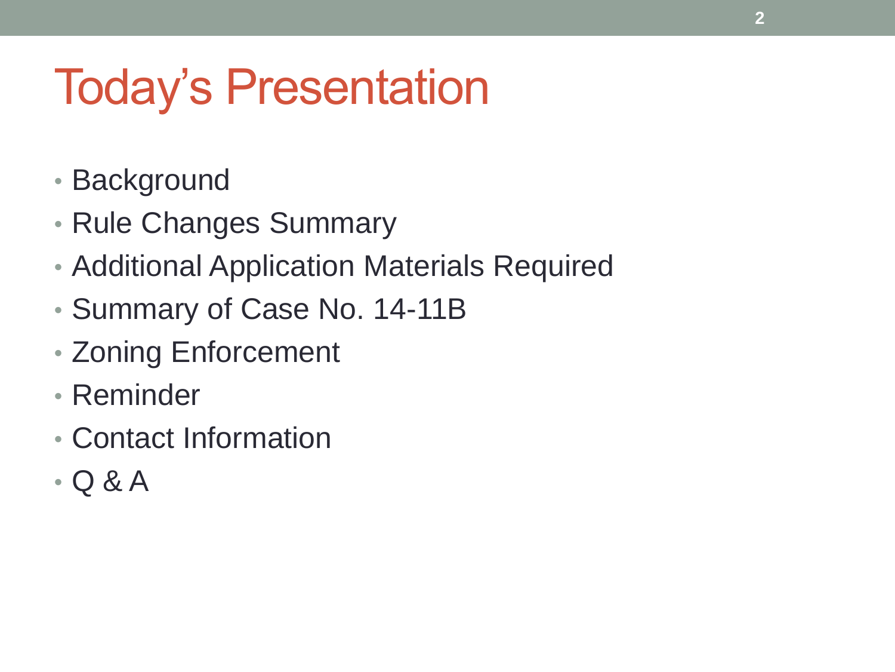### Today's Presentation

- Background
- Rule Changes Summary
- Additional Application Materials Required
- Summary of Case No. 14-11B
- Zoning Enforcement
- Reminder
- Contact Information
- Q & A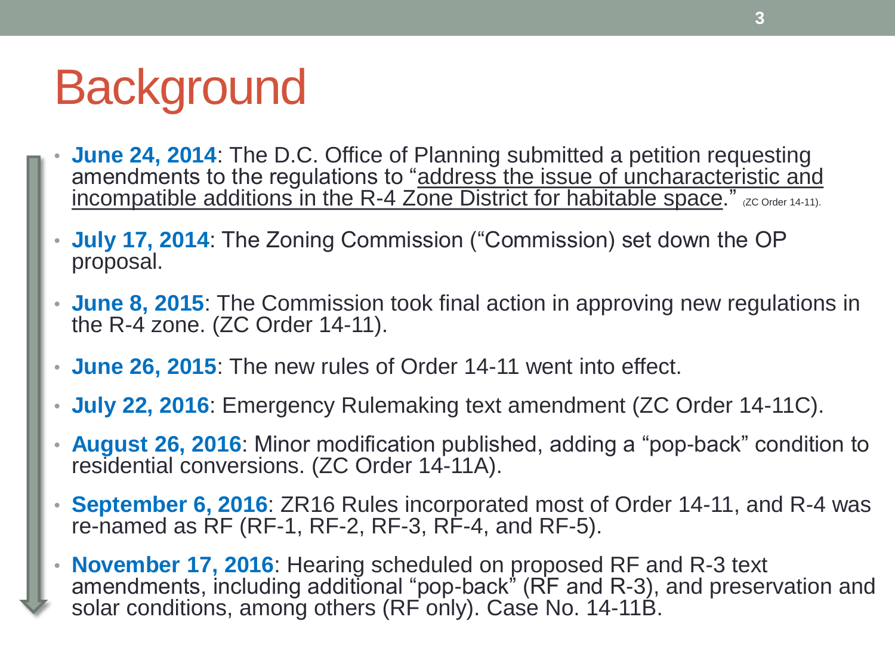### **Background**

- **June 24, 2014**: The D.C. Office of Planning submitted a petition requesting amendments to the regulations to "address the issue of uncharacteristic and incompatible additions in the R-4 Zone District for habitable space." (ZC Order 14-11).
- **July 17, 2014**: The Zoning Commission ("Commission) set down the OP proposal.
- **June 8, 2015**: The Commission took final action in approving new regulations in the R-4 zone. (ZC Order 14-11).
- **June 26, 2015**: The new rules of Order 14-11 went into effect.
- **July 22, 2016**: Emergency Rulemaking text amendment (ZC Order 14-11C).
- **August 26, 2016**: Minor modification published, adding a "pop-back" condition to residential conversions. (ZC Order 14-11A).
- **September 6, 2016**: ZR16 Rules incorporated most of Order 14-11, and R-4 was re-named as RF (RF-1, RF-2, RF-3, RF-4, and RF-5).
- **November 17, 2016**: Hearing scheduled on proposed RF and R-3 text amendments, including additional "pop-back" (RF and R-3), and preservation and solar conditions, among others (RF only). Case No. 14-11B.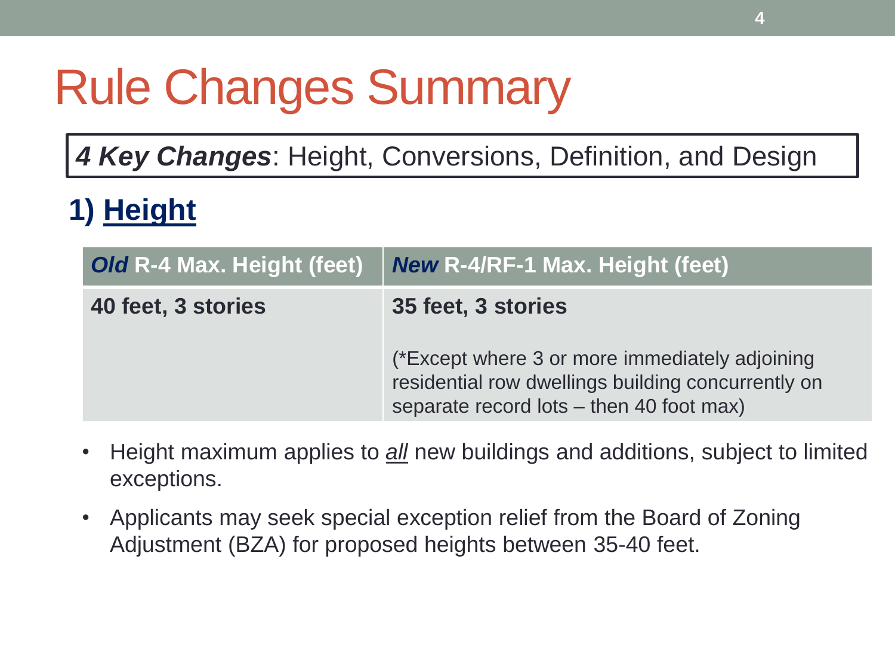## Rule Changes Summary

*4 Key Changes*: Height, Conversions, Definition, and Design

#### **1) Height**

| Old R-4 Max. Height (feet) | <b>New R-4/RF-1 Max. Height (feet)</b>                                                                                                                                 |
|----------------------------|------------------------------------------------------------------------------------------------------------------------------------------------------------------------|
| 40 feet, 3 stories         | 35 feet, 3 stories<br>(*Except where 3 or more immediately adjoining<br>residential row dwellings building concurrently on<br>separate record lots – then 40 foot max) |

- Height maximum applies to *all* new buildings and additions, subject to limited exceptions.
- Applicants may seek special exception relief from the Board of Zoning Adjustment (BZA) for proposed heights between 35-40 feet.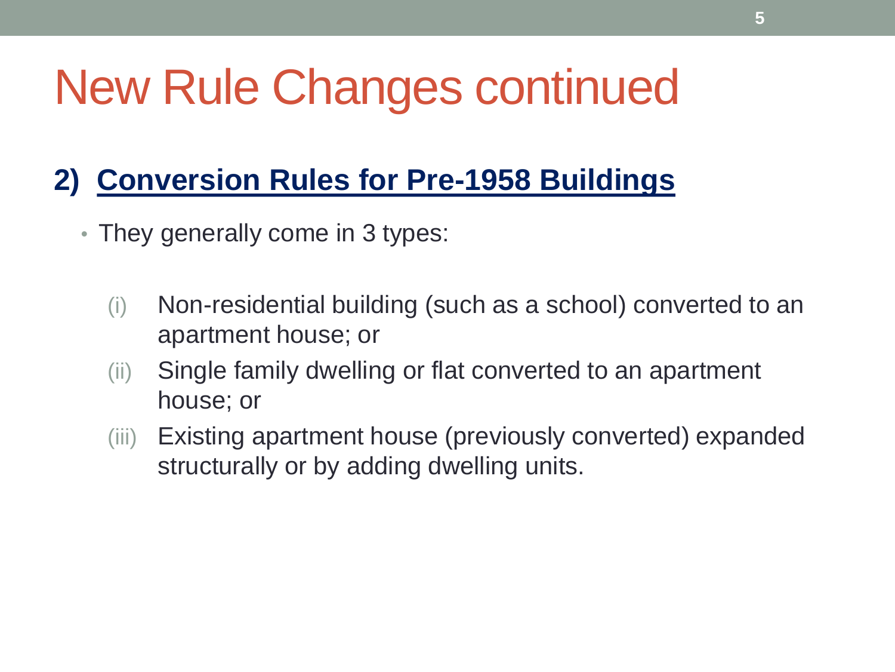### New Rule Changes continued

#### **2) Conversion Rules for Pre-1958 Buildings**

- They generally come in 3 types:
	- (i) Non-residential building (such as a school) converted to an apartment house; or
	- (ii) Single family dwelling or flat converted to an apartment house; or
	- (iii) Existing apartment house (previously converted) expanded structurally or by adding dwelling units.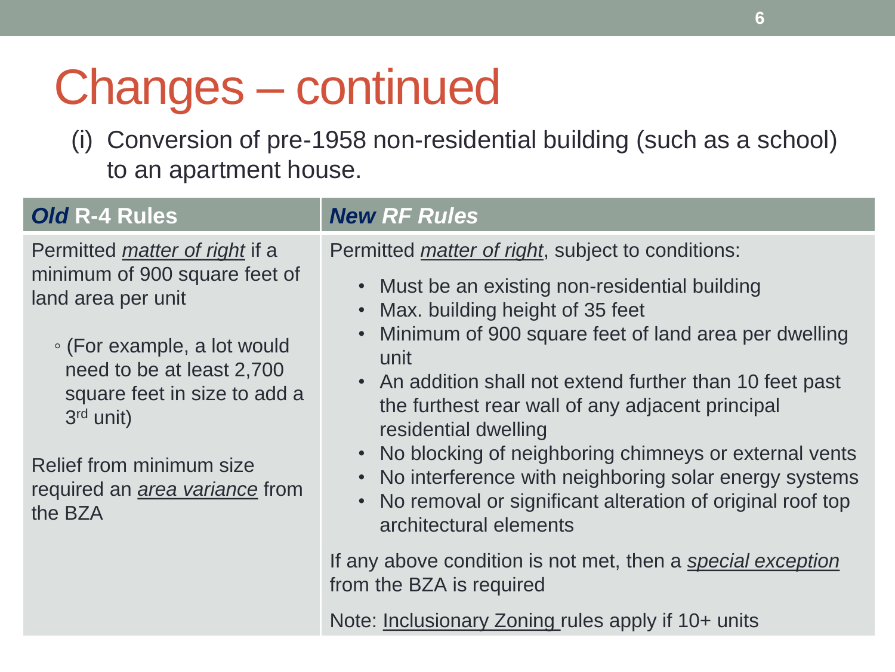### Changes – continued

(i) Conversion of pre-1958 non-residential building (such as a school) to an apartment house.

| <b>Old R-4 Rules</b>                                                                                                                                                                    | <b>New RF Rules</b>                                                                                                                                                                                         |
|-----------------------------------------------------------------------------------------------------------------------------------------------------------------------------------------|-------------------------------------------------------------------------------------------------------------------------------------------------------------------------------------------------------------|
| Permitted <i>matter</i> of <i>right</i> if a<br>minimum of 900 square feet of<br>land area per unit                                                                                     | Permitted <i>matter of right</i> , subject to conditions:                                                                                                                                                   |
|                                                                                                                                                                                         | • Must be an existing non-residential building<br>Max. building height of 35 feet                                                                                                                           |
| • (For example, a lot would<br>need to be at least 2,700<br>square feet in size to add a<br>$3rd$ unit)<br>Relief from minimum size<br>required an <i>area variance</i> from<br>the BZA | • Minimum of 900 square feet of land area per dwelling<br>unit                                                                                                                                              |
|                                                                                                                                                                                         | • An addition shall not extend further than 10 feet past<br>the furthest rear wall of any adjacent principal<br>residential dwelling                                                                        |
|                                                                                                                                                                                         | • No blocking of neighboring chimneys or external vents<br>• No interference with neighboring solar energy systems<br>• No removal or significant alteration of original roof top<br>architectural elements |
|                                                                                                                                                                                         | If any above condition is not met, then a special exception<br>from the BZA is required                                                                                                                     |

Note: **Inclusionary Zoning rules apply if 10+ units**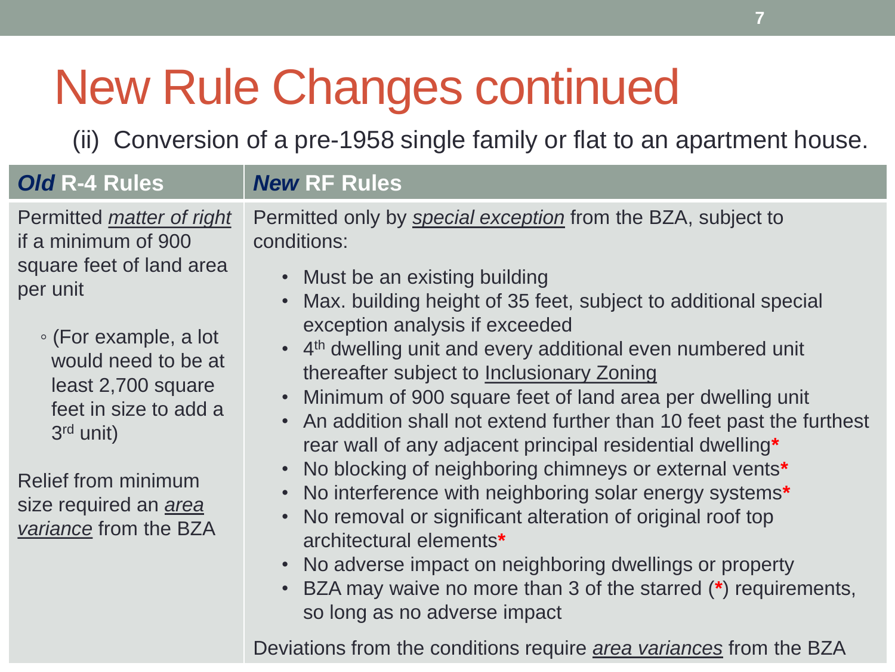### New Rule Changes continued

(ii) Conversion of a pre-1958 single family or flat to an apartment house.

| Old R-4 Rules                                                                                                                                                                                                                                                                                        | <b>New RF Rules</b>                                                                                                                                                                                                                                                                                                                                                                                                                                                                                                                                                                                                                                                                                                                                                                                                                                                                                                                                                                             |
|------------------------------------------------------------------------------------------------------------------------------------------------------------------------------------------------------------------------------------------------------------------------------------------------------|-------------------------------------------------------------------------------------------------------------------------------------------------------------------------------------------------------------------------------------------------------------------------------------------------------------------------------------------------------------------------------------------------------------------------------------------------------------------------------------------------------------------------------------------------------------------------------------------------------------------------------------------------------------------------------------------------------------------------------------------------------------------------------------------------------------------------------------------------------------------------------------------------------------------------------------------------------------------------------------------------|
| Permitted <i>matter</i> of right<br>if a minimum of 900<br>square feet of land area<br>per unit<br>∘ (For example, a lot<br>would need to be at<br>least 2,700 square<br>feet in size to add a<br>$3rd$ unit)<br><b>Relief from minimum</b><br>size required an <i>area</i><br>variance from the BZA | Permitted only by special exception from the BZA, subject to<br>conditions:<br>• Must be an existing building<br>Max. building height of 35 feet, subject to additional special<br>$\bullet$<br>exception analysis if exceeded<br>• 4 <sup>th</sup> dwelling unit and every additional even numbered unit<br>thereafter subject to Inclusionary Zoning<br>Minimum of 900 square feet of land area per dwelling unit<br>An addition shall not extend further than 10 feet past the furthest<br>$\bullet$<br>rear wall of any adjacent principal residential dwelling*<br>No blocking of neighboring chimneys or external vents*<br>$\bullet$<br>No interference with neighboring solar energy systems*<br>$\bullet$<br>No removal or significant alteration of original roof top<br>architectural elements*<br>No adverse impact on neighboring dwellings or property<br>$\bullet$<br>BZA may waive no more than 3 of the starred (*) requirements,<br>$\bullet$<br>so long as no adverse impact |
|                                                                                                                                                                                                                                                                                                      | Deviations from the conditions require <i>area variances</i> from the BZA                                                                                                                                                                                                                                                                                                                                                                                                                                                                                                                                                                                                                                                                                                                                                                                                                                                                                                                       |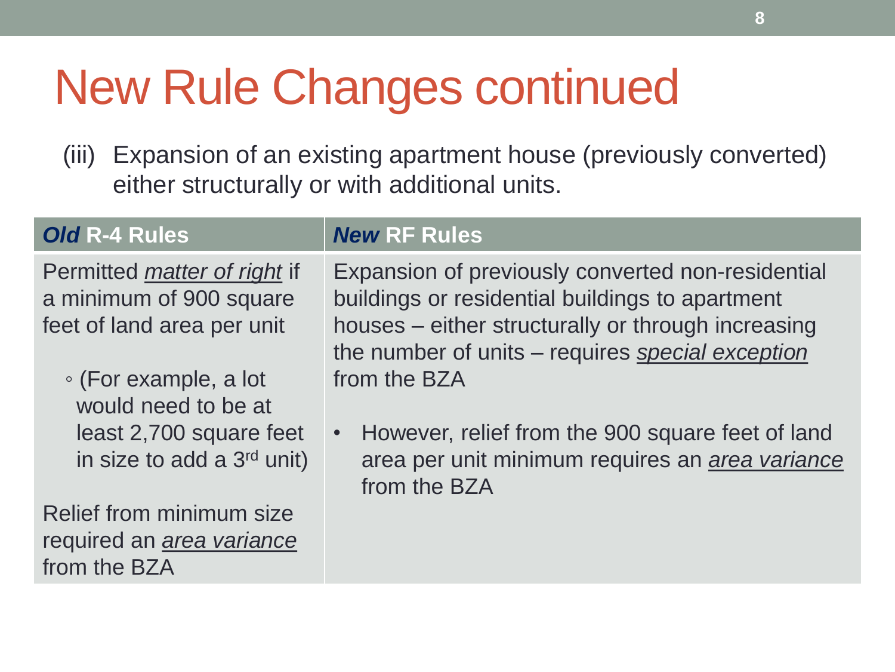### New Rule Changes continued

(iii) Expansion of an existing apartment house (previously converted) either structurally or with additional units.

#### *Old* **R-4 Rules** *New* **RF Rules**

Permitted *matter of right* if a minimum of 900 square feet of land area per unit

◦ (For example, a lot would need to be at least 2,700 square feet in size to add a  $3<sup>rd</sup>$  unit)

Relief from minimum size required an *area variance* from the BZA

Expansion of previously converted non-residential buildings or residential buildings to apartment houses – either structurally or through increasing the number of units – requires *special exception* from the BZA

• However, relief from the 900 square feet of land area per unit minimum requires an *area variance* from the BZA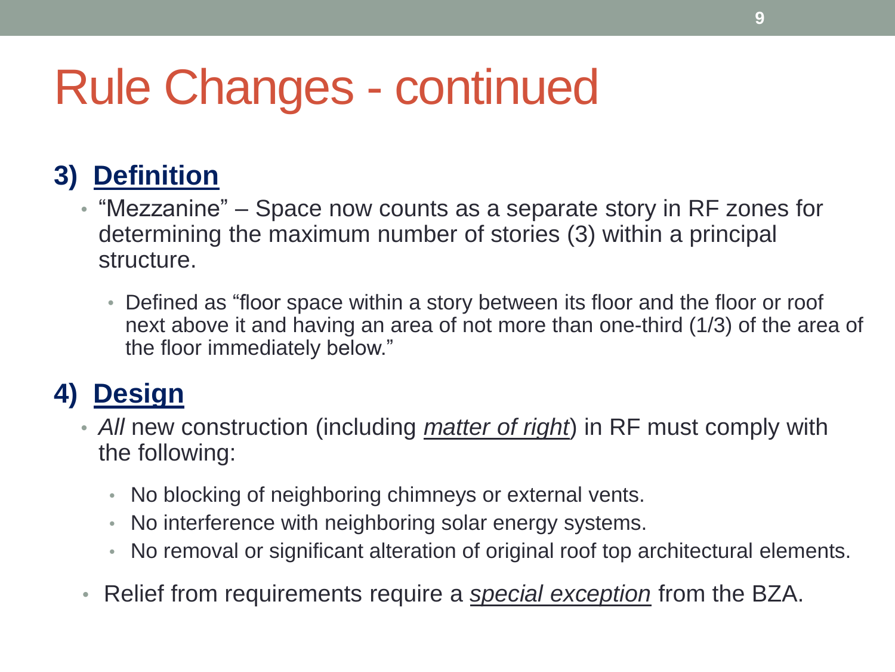### Rule Changes - continued

#### **3) Definition**

- "Mezzanine" Space now counts as a separate story in RF zones for determining the maximum number of stories (3) within a principal structure.
	- Defined as "floor space within a story between its floor and the floor or roof next above it and having an area of not more than one-third (1/3) of the area of the floor immediately below."

#### **4) Design**

- *All* new construction (including *matter of right*) in RF must comply with the following:
	- No blocking of neighboring chimneys or external vents.
	- No interference with neighboring solar energy systems.
	- No removal or significant alteration of original roof top architectural elements.
- Relief from requirements require a *special exception* from the BZA.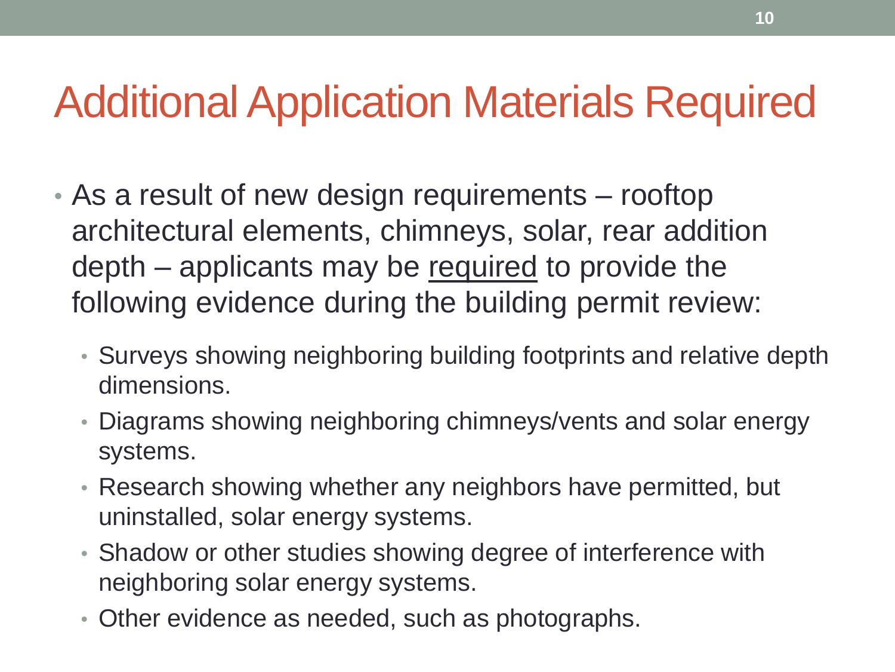#### Additional Application Materials Required

- As a result of new design requirements rooftop architectural elements, chimneys, solar, rear addition depth – applicants may be required to provide the following evidence during the building permit review:
	- Surveys showing neighboring building footprints and relative depth dimensions.
	- Diagrams showing neighboring chimneys/vents and solar energy systems.
	- Research showing whether any neighbors have permitted, but uninstalled, solar energy systems.
	- Shadow or other studies showing degree of interference with neighboring solar energy systems.
	- Other evidence as needed, such as photographs.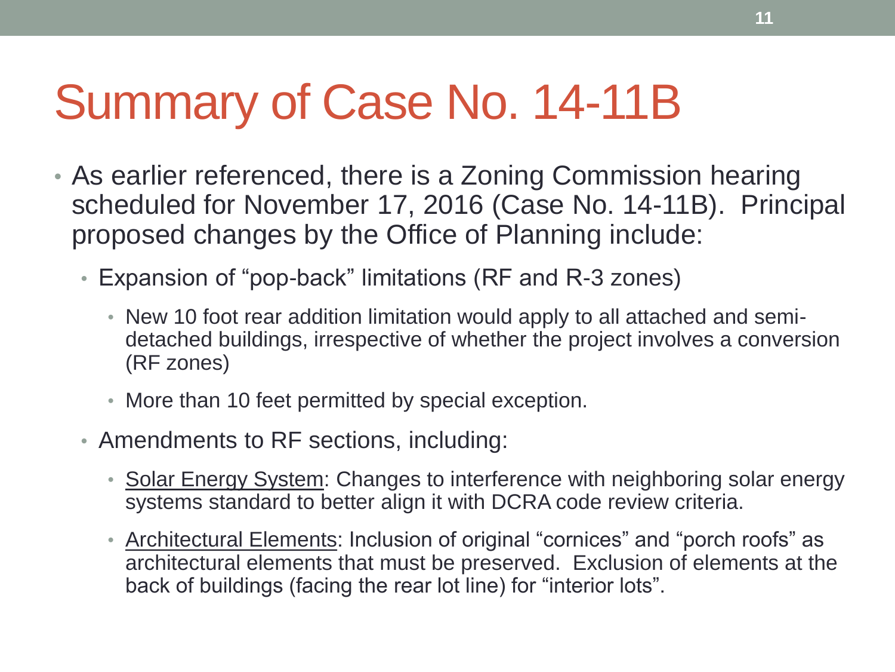### Summary of Case No. 14-11B

- As earlier referenced, there is a Zoning Commission hearing scheduled for November 17, 2016 (Case No. 14-11B). Principal proposed changes by the Office of Planning include:
	- Expansion of "pop-back" limitations (RF and R-3 zones)
		- New 10 foot rear addition limitation would apply to all attached and semidetached buildings, irrespective of whether the project involves a conversion (RF zones)
		- More than 10 feet permitted by special exception.
	- Amendments to RF sections, including:
		- Solar Energy System: Changes to interference with neighboring solar energy systems standard to better align it with DCRA code review criteria.
		- Architectural Elements: Inclusion of original "cornices" and "porch roofs" as architectural elements that must be preserved. Exclusion of elements at the back of buildings (facing the rear lot line) for "interior lots".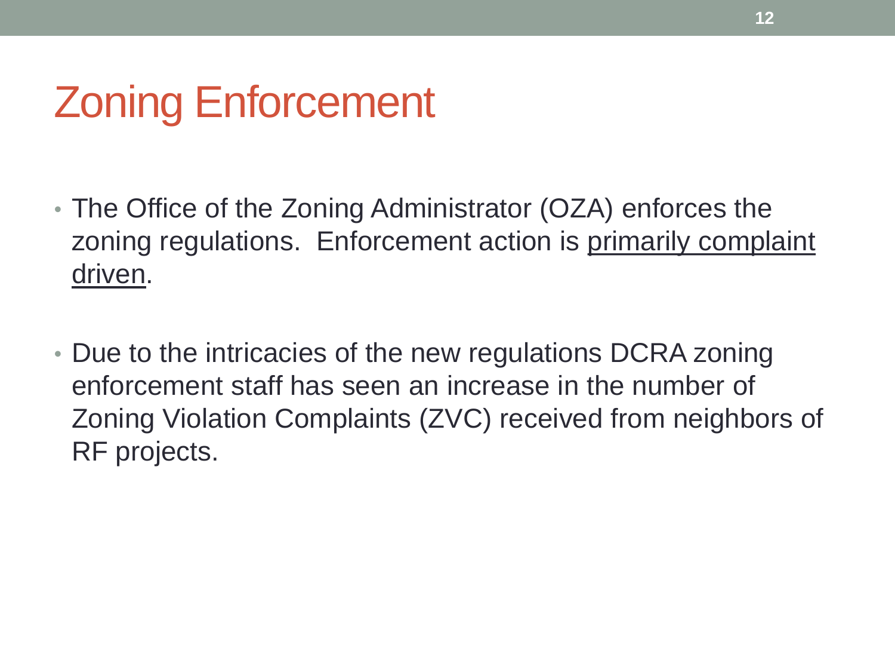#### Zoning Enforcement

- The Office of the Zoning Administrator (OZA) enforces the zoning regulations. Enforcement action is primarily complaint driven.
- Due to the intricacies of the new regulations DCRA zoning enforcement staff has seen an increase in the number of Zoning Violation Complaints (ZVC) received from neighbors of RF projects.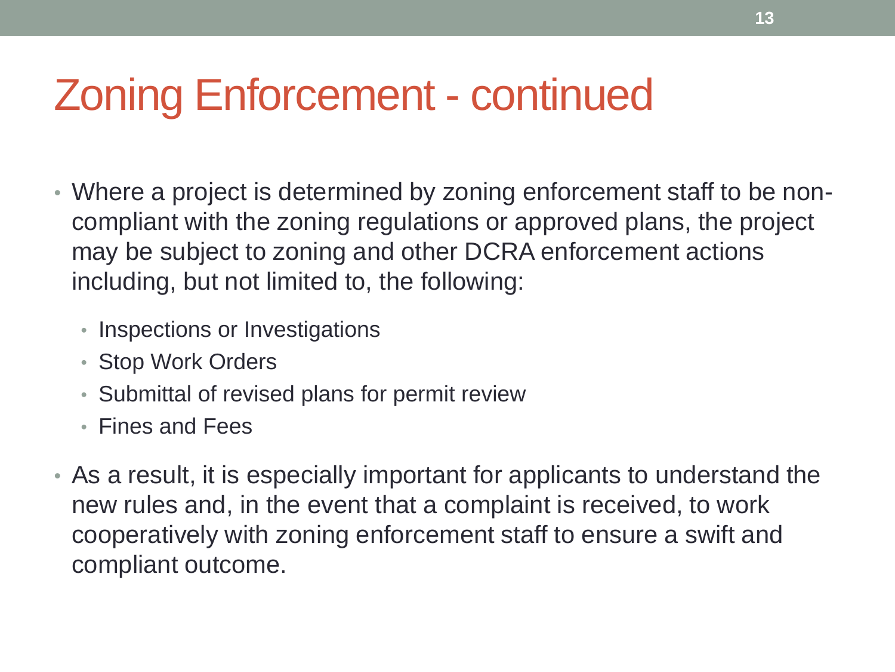#### Zoning Enforcement - continued

- Where a project is determined by zoning enforcement staff to be noncompliant with the zoning regulations or approved plans, the project may be subject to zoning and other DCRA enforcement actions including, but not limited to, the following:
	- Inspections or Investigations
	- Stop Work Orders
	- Submittal of revised plans for permit review
	- Fines and Fees
- As a result, it is especially important for applicants to understand the new rules and, in the event that a complaint is received, to work cooperatively with zoning enforcement staff to ensure a swift and compliant outcome.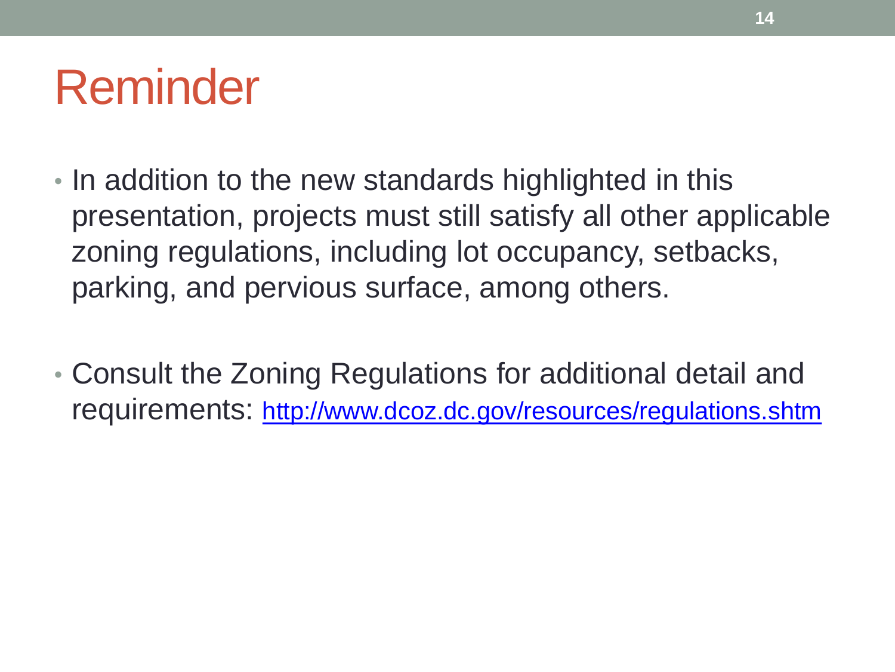#### Reminder

- In addition to the new standards highlighted in this presentation, projects must still satisfy all other applicable zoning regulations, including lot occupancy, setbacks, parking, and pervious surface, among others.
- Consult the Zoning Regulations for additional detail and requirements: <http://www.dcoz.dc.gov/resources/regulations.shtm>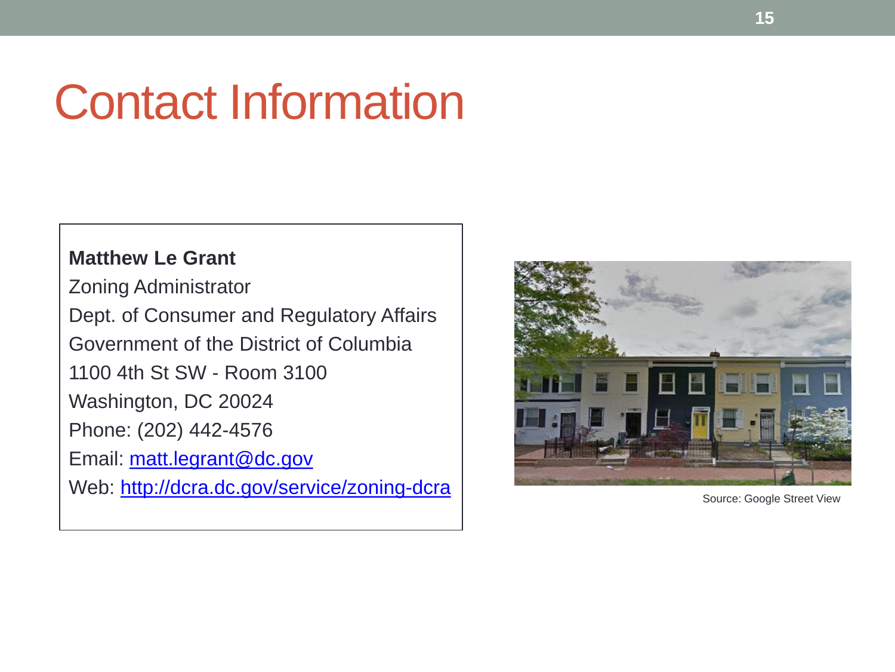### Contact Information

#### **Matthew Le Grant**

Zoning Administrator Dept. of Consumer and Regulatory Affairs Government of the District of Columbia 1100 4th St SW - Room 3100 Washington, DC 20024 Phone: (202) 442-4576 Email: [matt.legrant@dc.gov](mailto:matt.legrant@dc.gov) Web: <http://dcra.dc.gov/service/zoning-dcra>



Source: Google Street View